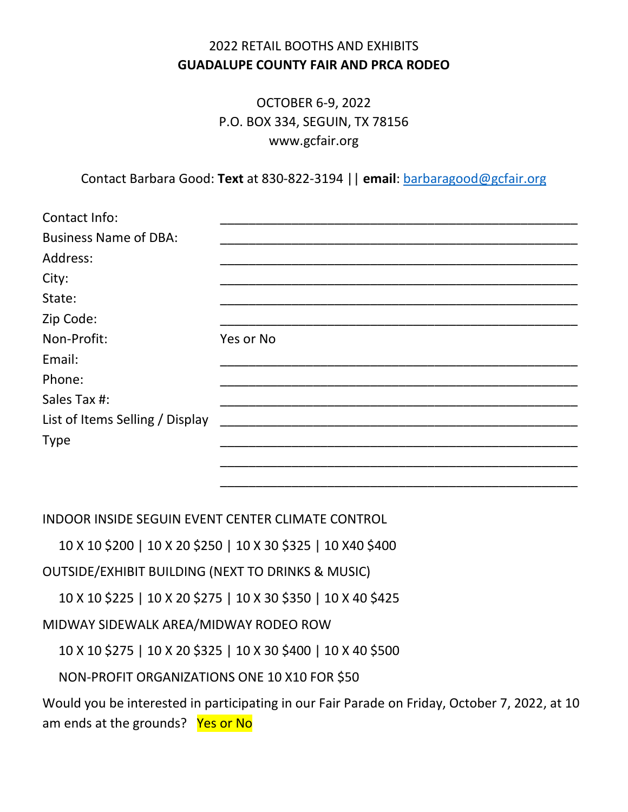## 2022 RETAIL BOOTHS AND EXHIBITS **GUADALUPE COUNTY FAIR AND PRCA RODEO**

OCTOBER 6-9, 2022 P.O. BOX 334, SEGUIN, TX 78156 www.gcfair.org

Contact Barbara Good: **Text** at 830-822-3194 || **email**: [barbaragood@gcfair.org](mailto:barbaragood@gcfair.org)

| Contact Info:                   |           |
|---------------------------------|-----------|
| <b>Business Name of DBA:</b>    |           |
| Address:                        |           |
| City:                           |           |
| State:                          |           |
| Zip Code:                       |           |
| Non-Profit:                     | Yes or No |
| Email:                          |           |
| Phone:                          |           |
| Sales Tax #:                    |           |
| List of Items Selling / Display |           |
| <b>Type</b>                     |           |
|                                 |           |
|                                 |           |

INDOOR INSIDE SEGUIN EVENT CENTER CLIMATE CONTROL

10 X 10 \$200 | 10 X 20 \$250 | 10 X 30 \$325 | 10 X40 \$400

OUTSIDE/EXHIBIT BUILDING (NEXT TO DRINKS & MUSIC)

10 X 10 \$225 | 10 X 20 \$275 | 10 X 30 \$350 | 10 X 40 \$425

MIDWAY SIDEWALK AREA/MIDWAY RODEO ROW

10 X 10 \$275 | 10 X 20 \$325 | 10 X 30 \$400 | 10 X 40 \$500

NON-PROFIT ORGANIZATIONS ONE 10 X10 FOR \$50

Would you be interested in participating in our Fair Parade on Friday, October 7, 2022, at 10 am ends at the grounds? Yes or No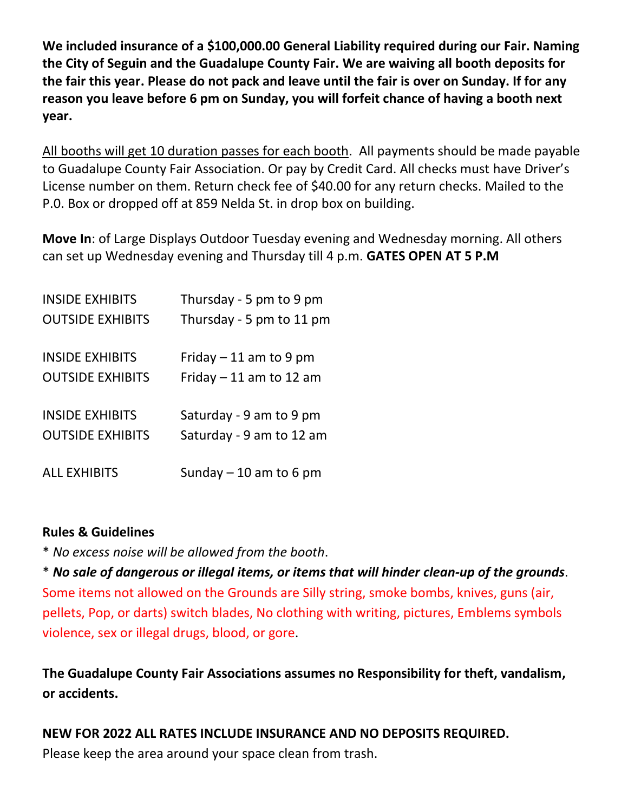**We included insurance of a \$100,000.00 General Liability required during our Fair. Naming the City of Seguin and the Guadalupe County Fair. We are waiving all booth deposits for the fair this year. Please do not pack and leave until the fair is over on Sunday. If for any reason you leave before 6 pm on Sunday, you will forfeit chance of having a booth next year.** 

All booths will get 10 duration passes for each booth. All payments should be made payable to Guadalupe County Fair Association. Or pay by Credit Card. All checks must have Driver's License number on them. Return check fee of \$40.00 for any return checks. Mailed to the P.0. Box or dropped off at 859 Nelda St. in drop box on building.

**Move In**: of Large Displays Outdoor Tuesday evening and Wednesday morning. All others can set up Wednesday evening and Thursday till 4 p.m. **GATES OPEN AT 5 P.M**

| <b>INSIDE EXHIBITS</b>  | Thursday - 5 pm to 9 pm  |
|-------------------------|--------------------------|
| <b>OUTSIDE EXHIBITS</b> | Thursday - 5 pm to 11 pm |
| <b>INSIDE EXHIBITS</b>  | Friday $-11$ am to 9 pm  |
| <b>OUTSIDE EXHIBITS</b> | Friday $-11$ am to 12 am |
| <b>INSIDE EXHIBITS</b>  | Saturday - 9 am to 9 pm  |
| <b>OUTSIDE EXHIBITS</b> | Saturday - 9 am to 12 am |
| <b>ALL EXHIBITS</b>     | Sunday $-10$ am to 6 pm  |

## **Rules & Guidelines**

\* *No excess noise will be allowed from the booth*.

\* *No sale of dangerous or illegal items, or items that will hinder clean-up of the grounds*. Some items not allowed on the Grounds are Silly string, smoke bombs, knives, guns (air, pellets, Pop, or darts) switch blades, No clothing with writing, pictures, Emblems symbols violence, sex or illegal drugs, blood, or gore.

**The Guadalupe County Fair Associations assumes no Responsibility for theft, vandalism, or accidents.**

**NEW FOR 2022 ALL RATES INCLUDE INSURANCE AND NO DEPOSITS REQUIRED.**  Please keep the area around your space clean from trash.